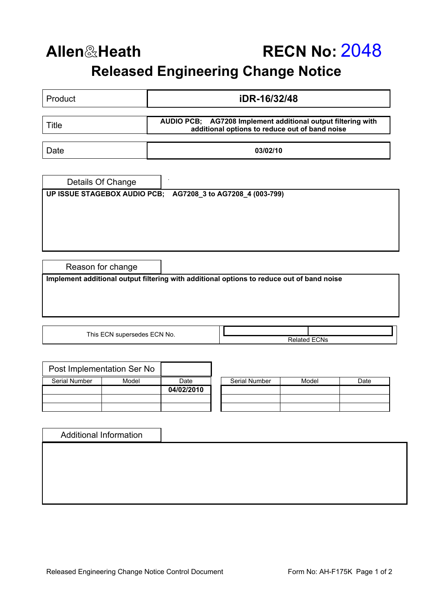## **Allen**&**Heath RECN No:** 2048 **Released Engineering Change Notice**

| Product                                                                                   |  | iDR-16/32/48                                                                                                   |  |  |  |  |  |
|-------------------------------------------------------------------------------------------|--|----------------------------------------------------------------------------------------------------------------|--|--|--|--|--|
| <b>Title</b>                                                                              |  | AUDIO PCB; AG7208 Implement additional output filtering with<br>additional options to reduce out of band noise |  |  |  |  |  |
| Date                                                                                      |  | 03/02/10                                                                                                       |  |  |  |  |  |
| Details Of Change<br>UP ISSUE STAGEBOX AUDIO PCB; AG7208_3 to AG7208_4 (003-799)          |  |                                                                                                                |  |  |  |  |  |
| Reason for change                                                                         |  |                                                                                                                |  |  |  |  |  |
| Implement additional output filtering with additional options to reduce out of band noise |  |                                                                                                                |  |  |  |  |  |
| This ECN supersedes ECN No.<br><b>Related ECNs</b>                                        |  |                                                                                                                |  |  |  |  |  |

|               | Post Implementation Ser No |            |                      |       |      |
|---------------|----------------------------|------------|----------------------|-------|------|
| Serial Number | Model                      | Date       | <b>Serial Number</b> | Model | Date |
|               |                            | 04/02/2010 |                      |       |      |
|               |                            |            |                      |       |      |
|               |                            |            |                      |       |      |

| <b>Additional Information</b> |  |  |
|-------------------------------|--|--|
|                               |  |  |
|                               |  |  |
|                               |  |  |
|                               |  |  |